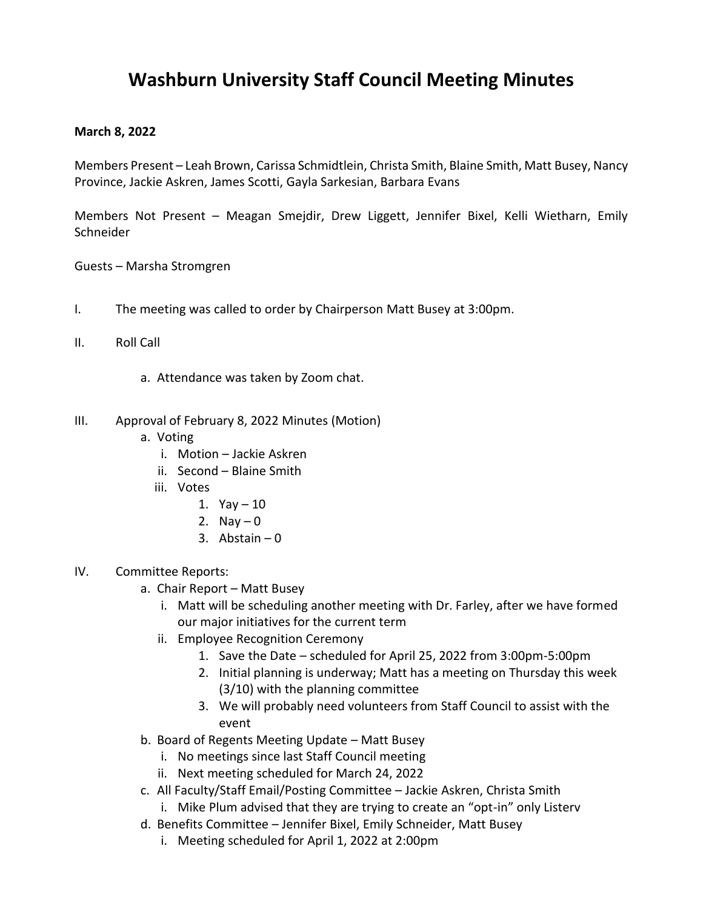## **Washburn University Staff Council Meeting Minutes**

## **March 8, 2022**

Members Present – Leah Brown, Carissa Schmidtlein, Christa Smith, Blaine Smith, Matt Busey, Nancy Province, Jackie Askren, James Scotti, Gayla Sarkesian, Barbara Evans

Members Not Present – Meagan Smejdir, Drew Liggett, Jennifer Bixel, Kelli Wietharn, Emily **Schneider** 

Guests – Marsha Stromgren

- I. The meeting was called to order by Chairperson Matt Busey at 3:00pm.
- II. Roll Call
	- a. Attendance was taken by Zoom chat.
- III. Approval of February 8, 2022 Minutes (Motion)
	- a. Voting
		- i. Motion Jackie Askren
		- ii. Second Blaine Smith
		- iii. Votes
			- 1.  $Yay 10$
			- 2. Nay  $-0$
			- 3. Abstain  $-0$
- IV. Committee Reports:
	- a. Chair Report Matt Busey
		- i. Matt will be scheduling another meeting with Dr. Farley, after we have formed our major initiatives for the current term
		- ii. Employee Recognition Ceremony
			- 1. Save the Date scheduled for April 25, 2022 from 3:00pm-5:00pm
			- 2. Initial planning is underway; Matt has a meeting on Thursday this week (3/10) with the planning committee
			- 3. We will probably need volunteers from Staff Council to assist with the event
	- b. Board of Regents Meeting Update Matt Busey
		- i. No meetings since last Staff Council meeting
		- ii. Next meeting scheduled for March 24, 2022
	- c. All Faculty/Staff Email/Posting Committee Jackie Askren, Christa Smith
		- i. Mike Plum advised that they are trying to create an "opt-in" only Listerv
	- d. Benefits Committee Jennifer Bixel, Emily Schneider, Matt Busey
		- i. Meeting scheduled for April 1, 2022 at 2:00pm